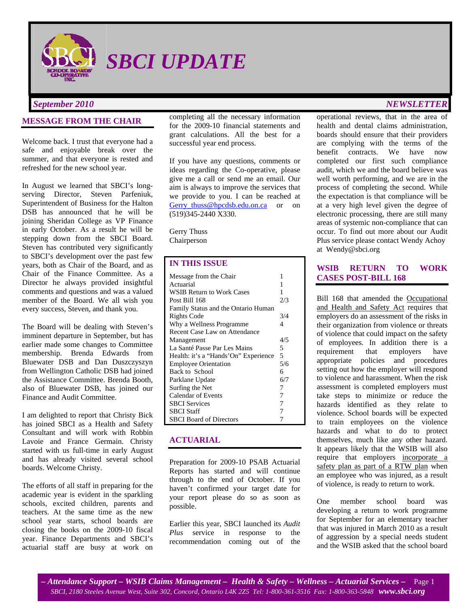

*SBCI UPDATE* 

## **MESSAGE FROM THE CHAIR**

Welcome back. I trust that everyone had a safe and enjoyable break over the summer, and that everyone is rested and refreshed for the new school year.

In August we learned that SBCI's longserving Director, Steven Parfeniuk, Superintendent of Business for the Halton DSB has announced that he will be joining Sheridan College as VP Finance in early October. As a result he will be stepping down from the SBCI Board. Steven has contributed very significantly to SBCI's development over the past few years, both as Chair of the Board, and as Chair of the Finance Committee. As a Director he always provided insightful comments and questions and was a valued member of the Board. We all wish you every success, Steven, and thank you.

The Board will be dealing with Steven's imminent departure in September, but has earlier made some changes to Committee membership. Brenda Edwards from Bluewater DSB and Dan Duszczyszyn from Wellington Catholic DSB had joined the Assistance Committee. Brenda Booth, also of Bluewater DSB, has joined our Finance and Audit Committee.

I am delighted to report that Christy Bick has joined SBCI as a Health and Safety Consultant and will work with Robbin Lavoie and France Germain. Christy started with us full-time in early August and has already visited several school boards. Welcome Christy.

The efforts of all staff in preparing for the academic year is evident in the sparkling schools, excited children, parents and teachers. At the same time as the new school year starts, school boards are closing the books on the 2009-10 fiscal year. Finance Departments and SBCI's actuarial staff are busy at work on

completing all the necessary information for the 2009-10 financial statements and grant calculations. All the best for a successful year end process.

If you have any questions, comments or ideas regarding the Co-operative, please give me a call or send me an email. Our aim is always to improve the services that we provide to you. I can be reached at Gerry\_thuss@hpcdsb.edu.on.ca or on (519)345-2440 X330.

Gerry Thuss Chairperson

## **IN THIS ISSUE**

| Message from the Chair               | 1   |
|--------------------------------------|-----|
| Actuarial                            | 1   |
| WSIB Return to Work Cases            | 1   |
| Post Bill 168                        | 2/3 |
| Family Status and the Ontario Human  |     |
| Rights Code                          | 3/4 |
| Why a Wellness Programme             | 4   |
| Recent Case Law on Attendance        |     |
| Management                           | 4/5 |
| La Santé Passe Par Les Mains         | 5   |
| Health: it's a "Hands'On" Experience | 5   |
| <b>Employee Orientation</b>          | 5/6 |
| Back to School                       | 6   |
| Parklane Update                      | 6/7 |
| Surfing the Net                      | 7   |
| <b>Calendar of Events</b>            | 7   |
| <b>SBCI</b> Services                 | 7   |
| SBCI Staff                           | 7   |
| <b>SBCI Board of Directors</b>       |     |

#### **ACTUARIAL**

Preparation for 2009-10 PSAB Actuarial Reports has started and will continue through to the end of October. If you haven't confirmed your target date for your report please do so as soon as possible.

Earlier this year, SBCI launched its *Audit Plus* service in response to the recommendation coming out of the

# *September 2010 NEWSLETTER*

operational reviews, that in the area of health and dental claims administration, boards should ensure that their providers are complying with the terms of the benefit contracts. We have now completed our first such compliance audit, which we and the board believe was well worth performing, and we are in the process of completing the second. While the expectation is that compliance will be at a very high level given the degree of electronic processing, there are still many areas of systemic non-compliance that can occur. To find out more about our Audit Plus service please contact Wendy Achoy at Wendy@sbci.org

## **WSIB RETURN TO WORK CASES POST-BILL 168**

Bill 168 that amended the Occupational and Health and Safety Act requires that employers do an assessment of the risks in their organization from violence or threats of violence that could impact on the safety of employees. In addition there is a requirement that employers have appropriate policies and procedures setting out how the employer will respond to violence and harassment. When the risk assessment is completed employers must take steps to minimize or reduce the hazards identified as they relate to violence. School boards will be expected to train employees on the violence hazards and what to do to protect themselves, much like any other hazard. It appears likely that the WSIB will also require that employers incorporate a safety plan as part of a RTW plan when an employee who was injured, as a result of violence, is ready to return to work.

One member school board was developing a return to work programme for September for an elementary teacher that was injured in March 2010 as a result of aggression by a special needs student and the WSIB asked that the school board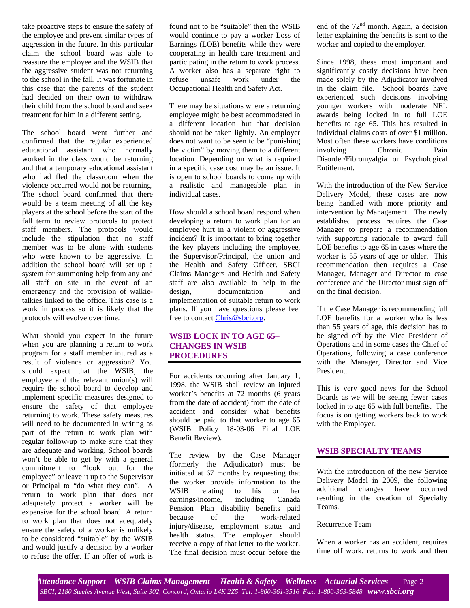take proactive steps to ensure the safety of the employee and prevent similar types of aggression in the future. In this particular claim the school board was able to reassure the employee and the WSIB that the aggressive student was not returning to the school in the fall. It was fortunate in this case that the parents of the student had decided on their own to withdraw their child from the school board and seek treatment for him in a different setting.

The school board went further and confirmed that the regular experienced educational assistant who normally worked in the class would be returning and that a temporary educational assistant who had fled the classroom when the violence occurred would not be returning. The school board confirmed that there would be a team meeting of all the key players at the school before the start of the fall term to review protocols to protect staff members. The protocols would include the stipulation that no staff member was to be alone with students who were known to be aggressive. In addition the school board will set up a system for summoning help from any and all staff on site in the event of an emergency and the provision of walkietalkies linked to the office. This case is a work in process so it is likely that the protocols will evolve over time.

What should you expect in the future when you are planning a return to work program for a staff member injured as a result of violence or aggression? You should expect that the WSIB, the employee and the relevant union(s) will require the school board to develop and implement specific measures designed to ensure the safety of that employee returning to work. These safety measures will need to be documented in writing as part of the return to work plan with regular follow-up to make sure that they are adequate and working. School boards won't be able to get by with a general commitment to "look out for the employee" or leave it up to the Supervisor or Principal to "do what they can". A return to work plan that does not adequately protect a worker will be expensive for the school board. A return to work plan that does not adequately ensure the safety of a worker is unlikely to be considered "suitable" by the WSIB and would justify a decision by a worker to refuse the offer. If an offer of work is found not to be "suitable" then the WSIB would continue to pay a worker Loss of Earnings (LOE) benefits while they were cooperating in health care treatment and participating in the return to work process. A worker also has a separate right to refuse unsafe work under the Occupational Health and Safety Act.

There may be situations where a returning employee might be best accommodated in a different location but that decision should not be taken lightly. An employer does not want to be seen to be "punishing" the victim" by moving them to a different location. Depending on what is required in a specific case cost may be an issue. It is open to school boards to come up with a realistic and manageable plan in individual cases.

How should a school board respond when developing a return to work plan for an employee hurt in a violent or aggressive incident? It is important to bring together the key players including the employee, the Supervisor/Principal, the union and the Health and Safety Officer. SBCI Claims Managers and Health and Safety staff are also available to help in the design, documentation and implementation of suitable return to work plans. If you have questions please feel free to contact Chris@sbci.org.

## **WSIB LOCK IN TO AGE 65– CHANGES IN WSIB PROCEDURES**

For accidents occurring after January 1, 1998. the WSIB shall review an injured worker's benefits at 72 months (6 years from the date of accident) from the date of accident and consider what benefits should be paid to that worker to age 65 (WSIB Policy 18-03-06 Final LOE Benefit Review).

The review by the Case Manager (formerly the Adjudicator) must be initiated at 67 months by requesting that the worker provide information to the<br>WSIB relating to his or her WSIB relating to his or her earnings/income, including Canada Pension Plan disability benefits paid because of the work-related injury/disease, employment status and health status. The employer should receive a copy of that letter to the worker. The final decision must occur before the end of the 72<sup>nd</sup> month. Again, a decision letter explaining the benefits is sent to the worker and copied to the employer.

Since 1998, these most important and significantly costly decisions have been made solely by the Adjudicator involved in the claim file. School boards have experienced such decisions involving younger workers with moderate NEL awards being locked in to full LOE benefits to age 65. This has resulted in individual claims costs of over \$1 million. Most often these workers have conditions involving Chronic Pain Disorder/Fibromyalgia or Psychological Entitlement.

With the introduction of the New Service Delivery Model, these cases are now being handled with more priority and intervention by Management. The newly established process requires the Case Manager to prepare a recommendation with supporting rationale to award full LOE benefits to age 65 in cases where the worker is 55 years of age or older. This recommendation then requires a Case Manager, Manager and Director to case conference and the Director must sign off on the final decision.

If the Case Manager is recommending full LOE benefits for a worker who is less than 55 years of age, this decision has to be signed off by the Vice President of Operations and in some cases the Chief of Operations, following a case conference with the Manager, Director and Vice President.

This is very good news for the School Boards as we will be seeing fewer cases locked in to age 65 with full benefits. The focus is on getting workers back to work with the Employer.

## **WSIB SPECIALTY TEAMS**

With the introduction of the new Service Delivery Model in 2009, the following additional changes have occurred resulting in the creation of Specialty Teams.

#### Recurrence Team

When a worker has an accident, requires time off work, returns to work and then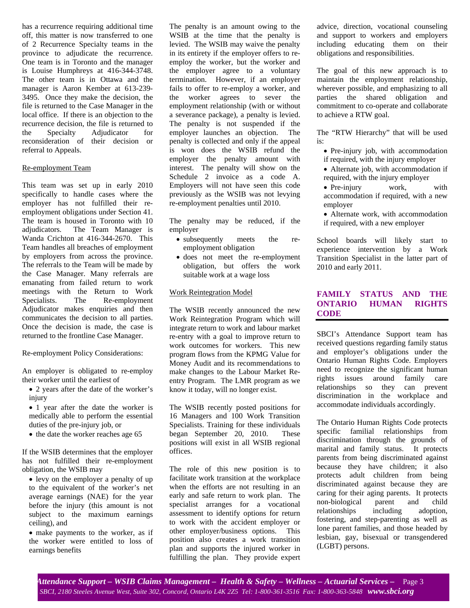has a recurrence requiring additional time off, this matter is now transferred to one of 2 Recurrence Specialty teams in the province to adjudicate the recurrence. One team is in Toronto and the manager is Louise Humphreys at 416-344-3748. The other team is in Ottawa and the manager is Aaron Kember at 613-239- 3495. Once they make the decision, the file is returned to the Case Manager in the local office. If there is an objection to the recurrence decision, the file is returned to the Specialty Adjudicator for reconsideration of their decision or referral to Appeals.

#### Re-employment Team

This team was set up in early 2010 specifically to handle cases where the employer has not fulfilled their reemployment obligations under Section 41. The team is housed in Toronto with 10 adjudicators. The Team Manager is Wanda Crichton at 416-344-2670. This Team handles all breaches of employment by employers from across the province. The referrals to the Team will be made by the Case Manager. Many referrals are emanating from failed return to work meetings with the Return to Work<br>Specialists. The Re-employment Specialists. The Re-employment Adjudicator makes enquiries and then communicates the decision to all parties. Once the decision is made, the case is returned to the frontline Case Manager.

#### Re-employment Policy Considerations:

An employer is obligated to re-employ their worker until the earliest of

- 2 years after the date of the worker's injury
- 1 year after the date the worker is medically able to perform the essential duties of the pre-injury job, or
- the date the worker reaches age 65

If the WSIB determines that the employer has not fulfilled their re-employment obligation, the WSIB may

• levy on the employer a penalty of up to the equivalent of the worker's net average earnings (NAE) for the year before the injury (this amount is not subject to the maximum earnings ceiling), and

• make payments to the worker, as if the worker were entitled to loss of earnings benefits

The penalty is an amount owing to the WSIB at the time that the penalty is levied. The WSIB may waive the penalty in its entirety if the employer offers to reemploy the worker, but the worker and the employer agree to a voluntary termination. However, if an employer fails to offer to re-employ a worker, and the worker agrees to sever the employment relationship (with or without a severance package), a penalty is levied. The penalty is not suspended if the employer launches an objection. The penalty is collected and only if the appeal is won does the WSIB refund the employer the penalty amount with interest. The penalty will show on the Schedule 2 invoice as a code A. Employers will not have seen this code previously as the WSIB was not levying re-employment penalties until 2010.

The penalty may be reduced, if the employer

- subsequently meets the reemployment obligation
- does not meet the re-employment obligation, but offers the work suitable work at a wage loss

#### Work Reintegration Model

The WSIB recently announced the new Work Reintegration Program which will integrate return to work and labour market re-entry with a goal to improve return to work outcomes for workers. This new program flows from the KPMG Value for Money Audit and its recommendations to make changes to the Labour Market Reentry Program. The LMR program as we know it today, will no longer exist.

The WSIB recently posted positions for 16 Managers and 100 Work Transition Specialists. Training for these individuals began September 20, 2010. These positions will exist in all WSIB regional offices.

The role of this new position is to facilitate work transition at the workplace when the efforts are not resulting in an early and safe return to work plan. The specialist arranges for a vocational assessment to identify options for return to work with the accident employer or other employer/business options. This position also creates a work transition plan and supports the injured worker in fulfilling the plan. They provide expert advice, direction, vocational counseling and support to workers and employers including educating them on their obligations and responsibilities.

The goal of this new approach is to maintain the employment relationship, wherever possible, and emphasizing to all parties the shared obligation and commitment to co-operate and collaborate to achieve a RTW goal.

The "RTW Hierarchy" that will be used is:

- Pre-injury job, with accommodation if required, with the injury employer
- Alternate job, with accommodation if required, with the injury employer
- Pre-injury work, with accommodation if required, with a new employer
- Alternate work, with accommodation if required, with a new employer

School boards will likely start to experience intervention by a Work Transition Specialist in the latter part of 2010 and early 2011.

## **FAMILY STATUS AND THE ONTARIO HUMAN RIGHTS CODE**

SBCI's Attendance Support team has received questions regarding family status and employer's obligations under the Ontario Human Rights Code. Employers need to recognize the significant human rights issues around family care relationships so they can prevent discrimination in the workplace and accommodate individuals accordingly.

The Ontario Human Rights Code protects specific familial relationships from discrimination through the grounds of marital and family status. It protects parents from being discriminated against because they have children; it also protects adult children from being discriminated against because they are caring for their aging parents. It protects non-biological parent and child relationships including adoption, fostering, and step-parenting as well as lone parent families, and those headed by lesbian, gay, bisexual or transgendered (LGBT) persons.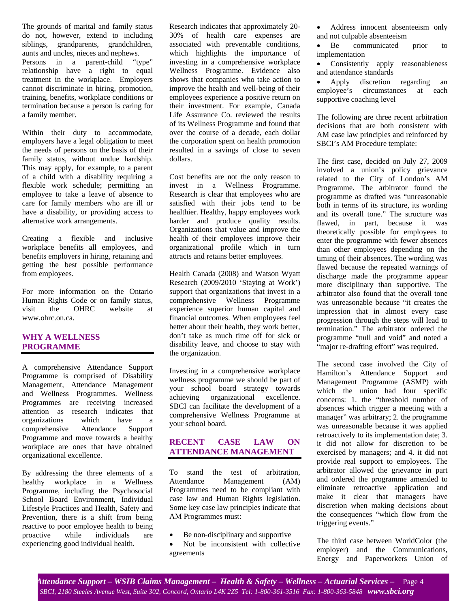The grounds of marital and family status do not, however, extend to including siblings, grandparents, grandchildren, aunts and uncles, nieces and nephews. Persons in a parent-child "type" relationship have a right to equal treatment in the workplace. Employers cannot discriminate in hiring, promotion, training, benefits, workplace conditions or termination because a person is caring for a family member.

Within their duty to accommodate, employers have a legal obligation to meet the needs of persons on the basis of their family status, without undue hardship. This may apply, for example, to a parent of a child with a disability requiring a flexible work schedule; permitting an employee to take a leave of absence to care for family members who are ill or have a disability, or providing access to alternative work arrangements.

Creating a flexible and inclusive workplace benefits all employees, and benefits employers in hiring, retaining and getting the best possible performance from employees.

For more information on the Ontario Human Rights Code or on family status, visit the OHRC website at www.ohrc.on.ca.

## **WHY A WELLNESS PROGRAMME**

A comprehensive Attendance Support Programme is comprised of Disability Management, Attendance Management and Wellness Programmes. Wellness Programmes are receiving increased attention as research indicates that organizations which have a comprehensive Attendance Support Programme and move towards a healthy workplace are ones that have obtained organizational excellence.

By addressing the three elements of a healthy workplace in a Wellness Programme, including the Psychosocial School Board Environment, Individual Lifestyle Practices and Health, Safety and Prevention, there is a shift from being reactive to poor employee health to being proactive while individuals are experiencing good individual health.

Research indicates that approximately 20- 30% of health care expenses are associated with preventable conditions, which highlights the importance of investing in a comprehensive workplace Wellness Programme. Evidence also shows that companies who take action to improve the health and well-being of their employees experience a positive return on their investment. For example, Canada Life Assurance Co. reviewed the results of its Wellness Programme and found that over the course of a decade, each dollar the corporation spent on health promotion resulted in a savings of close to seven dollars.

Cost benefits are not the only reason to invest in a Wellness Programme. Research is clear that employees who are satisfied with their jobs tend to be healthier. Healthy, happy employees work harder and produce quality results. Organizations that value and improve the health of their employees improve their organizational profile which in turn attracts and retains better employees.

Health Canada (2008) and Watson Wyatt Research (2009/2010 'Staying at Work') support that organizations that invest in a comprehensive Wellness Programme experience superior human capital and financial outcomes. When employees feel better about their health, they work better, don't take as much time off for sick or disability leave, and choose to stay with the organization.

Investing in a comprehensive workplace wellness programme we should be part of your school board strategy towards achieving organizational excellence. SBCI can facilitate the development of a comprehensive Wellness Programme at your school board.

## **RECENT CASE LAW ON ATTENDANCE MANAGEMENT**

To stand the test of arbitration, Attendance Management (AM) Programmes need to be compliant with case law and Human Rights legislation. Some key case law principles indicate that AM Programmes must:

- Be non-disciplinary and supportive
- Not be inconsistent with collective agreements

• Address innocent absenteeism only and not culpable absenteeism

• Be communicated prior to implementation

• Consistently apply reasonableness and attendance standards

• Apply discretion regarding an employee's circumstances at each supportive coaching level

The following are three recent arbitration decisions that are both consistent with AM case law principles and reinforced by SBCI's AM Procedure template:

The first case, decided on July 27, 2009 involved a union's policy grievance related to the City of London's AM Programme. The arbitrator found the programme as drafted was "unreasonable both in terms of its structure, its wording and its overall tone." The structure was flawed, in part, because it was theoretically possible for employees to enter the programme with fewer absences than other employees depending on the timing of their absences. The wording was flawed because the repeated warnings of discharge made the programme appear more disciplinary than supportive. The arbitrator also found that the overall tone was unreasonable because "it creates the impression that in almost every case progression through the steps will lead to termination." The arbitrator ordered the programme "null and void" and noted a "major re-drafting effort" was required.

The second case involved the City of Hamilton's Attendance Support and Management Programme (ASMP) with which the union had four specific concerns: 1. the "threshold number of absences which trigger a meeting with a manager" was arbitrary; 2. the programme was unreasonable because it was applied retroactively to its implementation date; 3. it did not allow for discretion to be exercised by managers; and 4. it did not provide real support to employees. The arbitrator allowed the grievance in part and ordered the programme amended to eliminate retroactive application and make it clear that managers have discretion when making decisions about the consequences "which flow from the triggering events."

The third case between WorldColor (the employer) and the Communications, Energy and Paperworkers Union of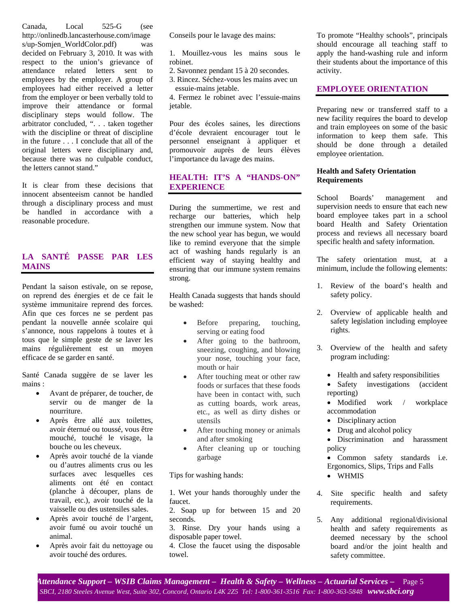Canada, Local 525-G (see http://onlinedb.lancasterhouse.com/image s/up-Somjen\_WorldColor.pdf) was decided on February 3, 2010. It was with respect to the union's grievance of attendance related letters sent to employees by the employer. A group of employees had either received a letter from the employer or been verbally told to improve their attendance or formal disciplinary steps would follow. The arbitrator concluded, ". . . taken together with the discipline or threat of discipline in the future . . . I conclude that all of the original letters were disciplinary and, because there was no culpable conduct, the letters cannot stand."

It is clear from these decisions that innocent absenteeism cannot be handled through a disciplinary process and must be handled in accordance with a reasonable procedure.

# **LA SANTÉ PASSE PAR LES MAINS**

Pendant la saison estivale, on se repose, on reprend des énergies et de ce fait le système immunitaire reprend des forces. Afin que ces forces ne se perdent pas pendant la nouvelle année scolaire qui s'annonce, nous rappelons à toutes et à tous que le simple geste de se laver les mains régulièrement est un moyen efficace de se garder en santé.

Santé Canada suggère de se laver les mains :

- Avant de préparer, de toucher, de servir ou de manger de la nourriture.
- Après être allé aux toilettes, avoir éternué ou toussé, vous être mouché, touché le visage, la bouche ou les cheveux.
- Après avoir touché de la viande ou d'autres aliments crus ou les surfaces avec lesquelles ces aliments ont été en contact (planche à découper, plans de travail, etc.), avoir touché de la vaisselle ou des ustensiles sales.
- Après avoir touché de l'argent, avoir fumé ou avoir touché un animal.
- Après avoir fait du nettoyage ou avoir touché des ordures.

Conseils pour le lavage des mains:

1. Mouillez-vous les mains sous le robinet.

- 2. Savonnez pendant 15 à 20 secondes.
- 3. Rincez. Séchez-vous les mains avec un essuie-mains jetable.

4. Fermez le robinet avec l'essuie-mains jetable.

Pour des écoles saines, les directions d'école devraient encourager tout le personnel enseignant à appliquer et promouvoir auprès de leurs élèves l'importance du lavage des mains.

## **HEALTH: IT'S A "HANDS-ON" EXPERIENCE**

During the summertime, we rest and recharge our batteries, which help strengthen our immune system. Now that the new school year has begun, we would like to remind everyone that the simple act of washing hands regularly is an efficient way of staying healthy and ensuring that our immune system remains strong.

Health Canada suggests that hands should be washed:

- Before preparing, touching, serving or eating food
- After going to the bathroom, sneezing, coughing, and blowing your nose, touching your face, mouth or hair
- After touching meat or other raw foods or surfaces that these foods have been in contact with, such as cutting boards, work areas, etc., as well as dirty dishes or utensils
- After touching money or animals and after smoking
- After cleaning up or touching garbage

Tips for washing hands:

1. Wet your hands thoroughly under the faucet.

2. Soap up for between 15 and 20 seconds.

3. Rinse. Dry your hands using a disposable paper towel.

4. Close the faucet using the disposable towel.

To promote "Healthy schools", principals should encourage all teaching staff to apply the hand-washing rule and inform their students about the importance of this activity.

## **EMPLOYEE ORIENTATION**

Preparing new or transferred staff to a new facility requires the board to develop and train employees on some of the basic information to keep them safe. This should be done through a detailed employee orientation.

### **Health and Safety Orientation Requirements**

School Boards' management and supervision needs to ensure that each new board employee takes part in a school board Health and Safety Orientation process and reviews all necessary board specific health and safety information.

The safety orientation must, at a minimum, include the following elements:

- 1. Review of the board's health and safety policy.
- 2. Overview of applicable health and safety legislation including employee rights.
- 3. Overview of the health and safety program including:
	- Health and safety responsibilities
	- Safety investigations (accident reporting)
	- Modified work / workplace accommodation
	- Disciplinary action
	- Drug and alcohol policy
	- Discrimination and harassment policy
	- Common safety standards i.e. Ergonomics, Slips, Trips and Falls
	- WHMIS
- 4. Site specific health and safety requirements.
- 5. Any additional regional/divisional health and safety requirements as deemed necessary by the school board and/or the joint health and safety committee.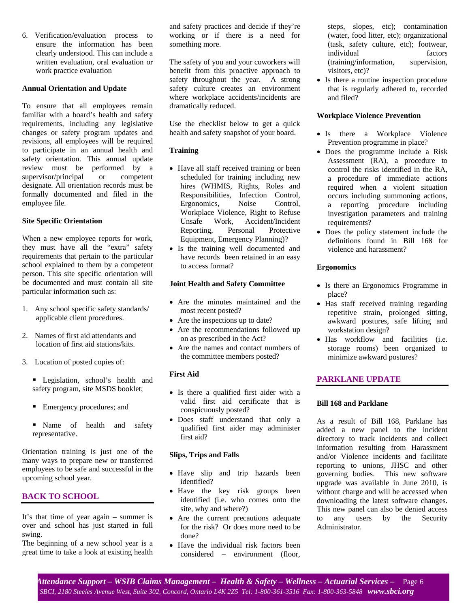6. Verification/evaluation process to ensure the information has been clearly understood. This can include a written evaluation, oral evaluation or work practice evaluation

#### **Annual Orientation and Update**

To ensure that all employees remain familiar with a board's health and safety requirements, including any legislative changes or safety program updates and revisions, all employees will be required to participate in an annual health and safety orientation. This annual update review must be performed by a supervisor/principal or competent designate. All orientation records must be formally documented and filed in the employee file.

#### **Site Specific Orientation**

When a new employee reports for work, they must have all the "extra" safety requirements that pertain to the particular school explained to them by a competent person. This site specific orientation will be documented and must contain all site particular information such as:

- 1. Any school specific safety standards/ applicable client procedures.
- 2. Names of first aid attendants and location of first aid stations/kits.
- 3. Location of posted copies of:
	- Legislation, school's health and safety program, site MSDS booklet;
	- Emergency procedures; and
	- **Name** of health and safety representative.

Orientation training is just one of the many ways to prepare new or transferred employees to be safe and successful in the upcoming school year.

## **BACK TO SCHOOL**

It's that time of year again – summer is over and school has just started in full swing.

The beginning of a new school year is a great time to take a look at existing health and safety practices and decide if they're working or if there is a need for something more.

The safety of you and your coworkers will benefit from this proactive approach to safety throughout the year. A strong safety culture creates an environment where workplace accidents/incidents are dramatically reduced.

Use the checklist below to get a quick health and safety snapshot of your board.

#### **Training**

- Have all staff received training or been scheduled for training including new hires (WHMIS, Rights, Roles and Responsibilities, Infection Control,<br>Ergonomics, Noise Control, Ergonomics, Noise Workplace Violence, Right to Refuse Unsafe Work, Accident/Incident Reporting, Personal Protective Equipment, Emergency Planning)?
- Is the training well documented and have records been retained in an easy to access format?

#### **Joint Health and Safety Committee**

- Are the minutes maintained and the most recent posted?
- Are the inspections up to date?
- Are the recommendations followed up on as prescribed in the Act?
- Are the names and contact numbers of the committee members posted?

#### **First Aid**

- Is there a qualified first aider with a valid first aid certificate that is conspicuously posted?
- Does staff understand that only a qualified first aider may administer first aid?

#### **Slips, Trips and Falls**

- Have slip and trip hazards been identified?
- Have the key risk groups been identified (i.e. who comes onto the site, why and where?)
- Are the current precautions adequate for the risk? Or does more need to be done?
- Have the individual risk factors been considered – environment (floor,

steps, slopes, etc); contamination (water, food litter, etc); organizational (task, safety culture, etc); footwear, individual factors (training/information, supervision, visitors, etc)?

• Is there a routine inspection procedure that is regularly adhered to, recorded and filed?

#### **Workplace Violence Prevention**

- Is there a Workplace Violence Prevention programme in place?
- Does the programme include a Risk Assessment (RA), a procedure to control the risks identified in the RA, a procedure of immediate actions required when a violent situation occurs including summoning actions, a reporting procedure including investigation parameters and training requirements?
- Does the policy statement include the definitions found in Bill 168 for violence and harassment?

#### **Ergonomics**

- Is there an Ergonomics Programme in place?
- Has staff received training regarding repetitive strain, prolonged sitting, awkward postures, safe lifting and workstation design?
- Has workflow and facilities (i.e. storage rooms) been organized to minimize awkward postures?

#### **PARKLANE UPDATE**

#### **Bill 168 and Parklane**

As a result of Bill 168, Parklane has added a new panel to the incident directory to track incidents and collect information resulting from Harassment and/or Violence incidents and facilitate reporting to unions, JHSC and other governing bodies. This new software upgrade was available in June 2010, is without charge and will be accessed when downloading the latest software changes. This new panel can also be denied access to any users by the Security Administrator.